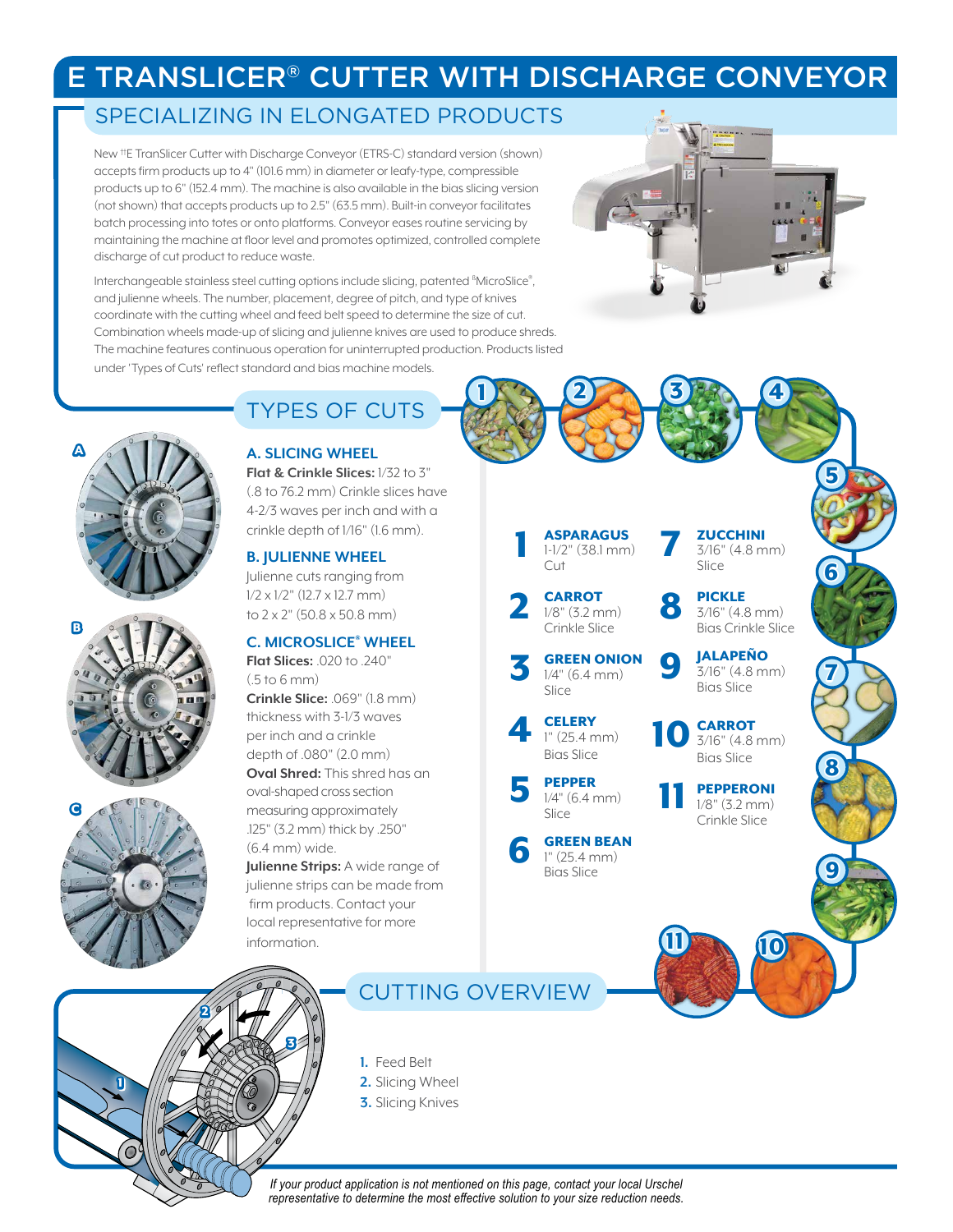## E TRANSLICER® CUTTER WITH DISCHARGE CONVEYOR

1

## SPECIALIZING IN ELONGATED PRODUCTS

New ††E TranSlicer Cutter with Discharge Conveyor (ETRS-C) standard version (shown) accepts firm products up to 4" (101.6 mm) in diameter or leafy-type, compressible products up to 6" (152.4 mm). The machine is also available in the bias slicing version (not shown) that accepts products up to 2.5" (63.5 mm). Built-in conveyor facilitates batch processing into totes or onto platforms. Conveyor eases routine servicing by maintaining the machine at floor level and promotes optimized, controlled complete discharge of cut product to reduce waste.

Interchangeable stainless steel cutting options include slicing, patented <sup>8</sup>MicroSlice®, and julienne wheels. The number, placement, degree of pitch, and type of knives coordinate with the cutting wheel and feed belt speed to determine the size of cut. Combination wheels made-up of slicing and julienne knives are used to produce shreds. The machine features continuous operation for uninterrupted production. Products listed under 'Types of Cuts' reflect standard and bias machine models.



## **A. SLICING WHEEL**

A

B

C

**Flat & Crinkle Slices:** 1/32 to 3" (.8 to 76.2 mm) Crinkle slices have 4-2/3 waves per inch and with a crinkle depth of 1/16" (1.6 mm).

### **B. JULIENNE WHEEL**

Julienne cuts ranging from  $1/2 \times 1/2$ " (12.7  $\times$  12.7 mm) to 2 x 2" (50.8 x 50.8 mm)

## **C. MICROSLICE® WHEEL**

**Flat Slices:** .020 to .240"  $(5 to 6 mm)$ **Crinkle Slice:** .069" (1.8 mm) thickness with 3-1/3 waves per inch and a crinkle depth of .080" (2.0 mm) **Oval Shred:** This shred has an oval-shaped cross section measuring approximately .125" (3.2 mm) thick by .250" (6.4 mm) wide.

**Julienne Strips:** A wide range of julienne strips can be made from firm products. Contact your local representative for more information.



CUTTING OVERVIEW

**1.** Feed Belt

- **2.** Slicing Wheel
- **3.** Slicing Knives



2 3

ASPARAGUS 1-1/2" (38.1 mm) Cut 1

**ZUCCHINI** 3/16" (4.8 mm) Slice

7

8

9

10

**CARROT** 1/8" (3.2 mm) Crinkle Slice

GREEN ONION 1/4" (6.4 mm) Slice 3

2

**CELERY** 1" (25.4 mm) Bias Slice 4

PEPPER 1/4" (6.4 mm) Slice 5

GREEN BEAN 1" (25.4 mm) Bias Slice 6

7 8 PICKLE 3/16" (4.8 mm) Bias Crinkle Slice JALAPEÑO 3/16" (4.8 mm) Bias Slice **CARROT** 3/16" (4.8 mm) Bias Slice

4

5

6

9

PEPPERONI 1/8" (3.2 mm)



10

# Crinkle Slice

# 11